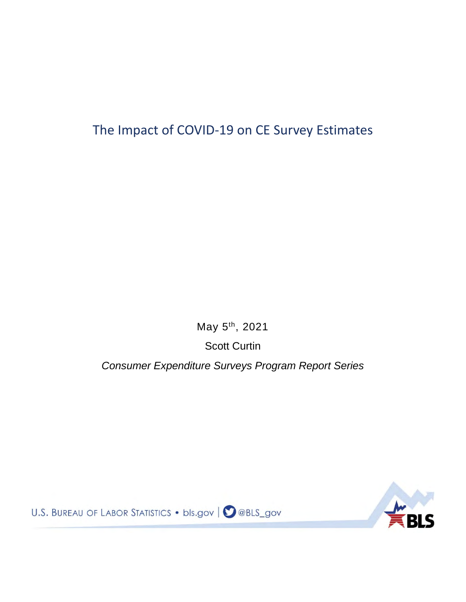## The Impact of COVID-19 on CE Survey Estimates

May 5th, 2021

Scott Curtin

*Consumer Expenditure Surveys Program Report Series*



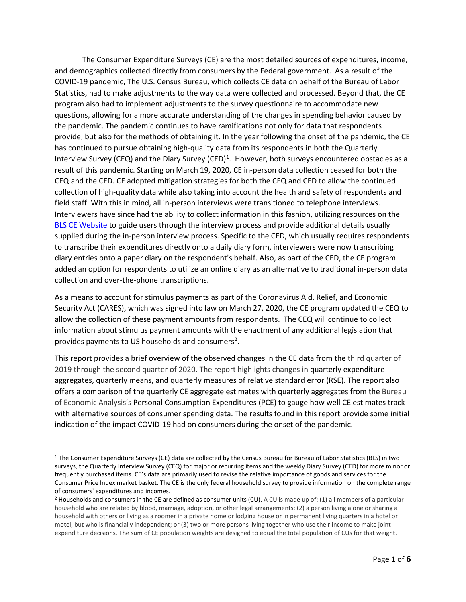The Consumer Expenditure Surveys (CE) are the most detailed sources of expenditures, income, and demographics collected directly from consumers by the Federal government. As a result of the COVID-19 pandemic, The U.S. Census Bureau, which collects CE data on behalf of the Bureau of Labor Statistics, had to make adjustments to the way data were collected and processed. Beyond that, the CE program also had to implement adjustments to the survey questionnaire to accommodate new questions, allowing for a more accurate understanding of the changes in spending behavior caused by the pandemic. The pandemic continues to have ramifications not only for data that respondents provide, but also for the methods of obtaining it. In the year following the onset of the pandemic, the CE has continued to pursue obtaining high-quality data from its respondents in both the Quarterly Interview Survey (CEQ) and the Diary Survey (CED)<sup>[1](#page-1-0)</sup>. However, both surveys encountered obstacles as a result of this pandemic. Starting on March 19, 2020, CE in-person data collection ceased for both the CEQ and the CED. CE adopted mitigation strategies for both the CEQ and CED to allow the continued collection of high-quality data while also taking into account the health and safety of respondents and field staff. With this in mind, all in-person interviews were transitioned to telephone interviews. Interviewers have since had the ability to collect information in this fashion, utilizing resources on the [BLS CE Website](https://www.bls.gov/respondents/cex/) to guide users through the interview process and provide additional details usually supplied during the in-person interview process. Specific to the CED, which usually requires respondents to transcribe their expenditures directly onto a daily diary form, interviewers were now transcribing diary entries onto a paper diary on the respondent's behalf. Also, as part of the CED, the CE program added an option for respondents to utilize an online diary as an alternative to traditional in-person data collection and over-the-phone transcriptions.

As a means to account for stimulus payments as part of the Coronavirus Aid, Relief, and Economic Security Act (CARES), which was signed into law on March 27, 2020, the CE program updated the CEQ to allow the collection of these payment amounts from respondents. The CEQ will continue to collect information about stimulus payment amounts with the enactment of any additional legislation that provides payments to US households and consumers<sup>2</sup>.

This report provides a brief overview of the observed changes in the CE data from the third quarter of 2019 through the second quarter of 2020. The report highlights changes in quarterly expenditure aggregates, quarterly means, and quarterly measures of relative standard error (RSE). The report also offers a comparison of the quarterly CE aggregate estimates with quarterly aggregates from the Bureau of Economic Analysis's Personal Consumption Expenditures (PCE) to gauge how well CE estimates track with alternative sources of consumer spending data. The results found in this report provide some initial indication of the impact COVID-19 had on consumers during the onset of the pandemic.

 $\overline{a}$ 

<span id="page-1-0"></span><sup>&</sup>lt;sup>1</sup> The Consumer Expenditure Surveys (CE) data are collected by the Census Bureau for Bureau of Labor Statistics (BLS) in two surveys, the Quarterly Interview Survey (CEQ) for major or recurring items and the weekly Diary Survey (CED) for more minor or frequently purchased items. CE's data are primarily used to revise the relative importance of goods and services for the Consumer Price Index market basket. The CE is the only federal household survey to provide information on the complete range of consumers' expenditures and incomes.

<span id="page-1-1"></span><sup>2</sup> Households and consumers in the CE are defined as consumer units (CU). A CU is made up of: (1) all members of a particular household who are related by blood, marriage, adoption, or other legal arrangements; (2) a person living alone or sharing a household with others or living as a roomer in a private home or lodging house or in permanent living quarters in a hotel or motel, but who is financially independent; or (3) two or more persons living together who use their income to make joint expenditure decisions. The sum of CE population weights are designed to equal the total population of CUs for that weight.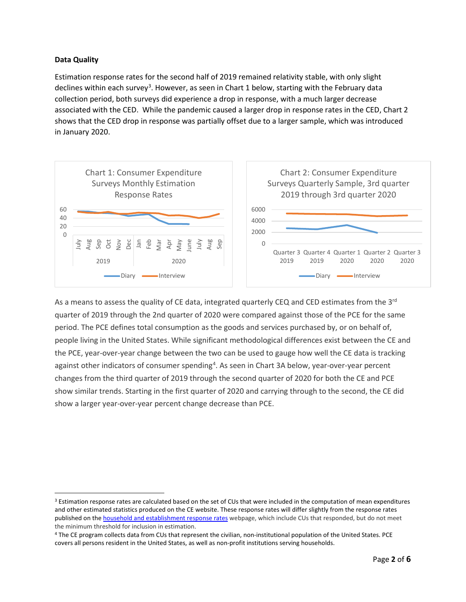## **Data Quality**

 $\overline{a}$ 

Estimation response rates for the second half of 2019 remained relativity stable, with only slight declines within each survey<sup>[3](#page-2-0)</sup>. However, as seen in Chart 1 below, starting with the February data collection period, both surveys did experience a drop in response, with a much larger decrease associated with the CED. While the pandemic caused a larger drop in response rates in the CED, Chart 2 shows that the CED drop in response was partially offset due to a larger sample, which was introduced in January 2020.



As a means to assess the quality of CE data, integrated quarterly CEQ and CED estimates from the  $3^{rd}$ quarter of 2019 through the 2nd quarter of 2020 were compared against those of the PCE for the same period. The PCE defines total consumption as the goods and services purchased by, or on behalf of, people living in the United States. While significant methodological differences exist between the CE and the PCE, year-over-year change between the two can be used to gauge how well the CE data is tracking against other indicators of consumer spending<sup>[4](#page-2-1)</sup>. As seen in Chart 3A below, year-over-year percent changes from the third quarter of 2019 through the second quarter of 2020 for both the CE and PCE show similar trends. Starting in the first quarter of 2020 and carrying through to the second, the CE did show a larger year-over-year percent change decrease than PCE.

<span id="page-2-0"></span><sup>&</sup>lt;sup>3</sup> Estimation response rates are calculated based on the set of CUs that were included in the computation of mean expenditures and other estimated statistics produced on the CE website. These response rates will differ slightly from the response rates published on th[e household and establishment response rates](https://www.bls.gov/osmr/response-rates/home.htm) webpage, which include CUs that responded, but do not meet the minimum threshold for inclusion in estimation.

<span id="page-2-1"></span><sup>4</sup> The CE program collects data from CUs that represent the civilian, non-institutional population of the United States. PCE covers all persons resident in the United States, as well as non-profit institutions serving households.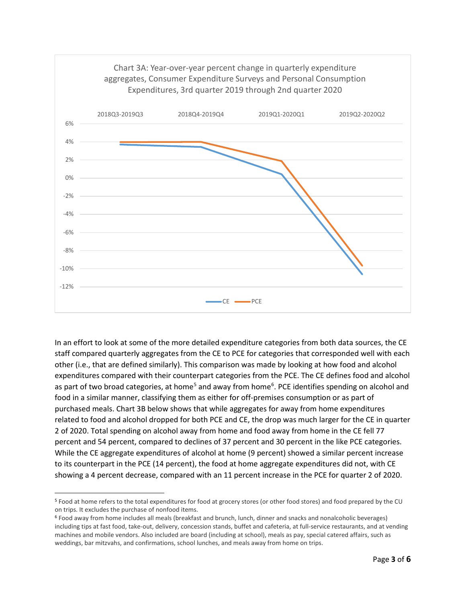

In an effort to look at some of the more detailed expenditure categories from both data sources, the CE staff compared quarterly aggregates from the CE to PCE for categories that corresponded well with each other (i.e., that are defined similarly). This comparison was made by looking at how food and alcohol expenditures compared with their counterpart categories from the PCE. The CE defines food and alcohol as part of two broad categories, at home<sup>[5](#page-3-0)</sup> and away from home<sup>[6](#page-3-1)</sup>. PCE identifies spending on alcohol and food in a similar manner, classifying them as either for off-premises consumption or as part of purchased meals. Chart 3B below shows that while aggregates for away from home expenditures related to food and alcohol dropped for both PCE and CE, the drop was much larger for the CE in quarter 2 of 2020. Total spending on alcohol away from home and food away from home in the CE fell 77 percent and 54 percent, compared to declines of 37 percent and 30 percent in the like PCE categories. While the CE aggregate expenditures of alcohol at home (9 percent) showed a similar percent increase to its counterpart in the PCE (14 percent), the food at home aggregate expenditures did not, with CE showing a 4 percent decrease, compared with an 11 percent increase in the PCE for quarter 2 of 2020.

 $\overline{a}$ 

<span id="page-3-0"></span><sup>5</sup> Food at home refers to the total expenditures for food at grocery stores (or other food stores) and food prepared by the CU on trips. It excludes the purchase of nonfood items.

<span id="page-3-1"></span><sup>6</sup> Food away from home includes all meals (breakfast and brunch, lunch, dinner and snacks and nonalcoholic beverages) including tips at fast food, take-out, delivery, concession stands, buffet and cafeteria, at full-service restaurants, and at vending machines and mobile vendors. Also included are board (including at school), meals as pay, special catered affairs, such as weddings, bar mitzvahs, and confirmations, school lunches, and meals away from home on trips.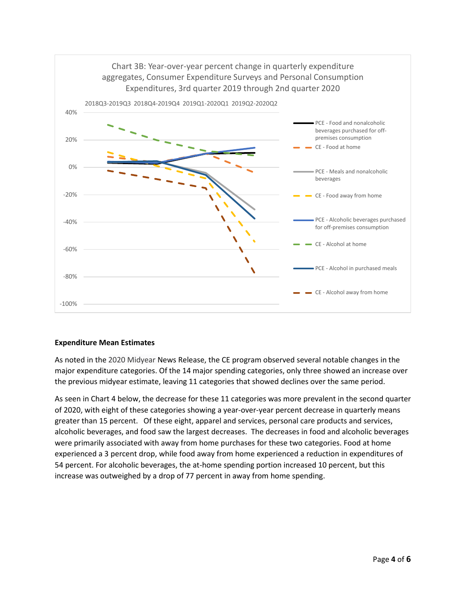

## **Expenditure Mean Estimates**

As noted in the 2020 Midyear News Release, the CE program observed several notable changes in the major expenditure categories. Of the 14 major spending categories, only three showed an increase over the previous midyear estimate, leaving 11 categories that showed declines over the same period.

As seen in Chart 4 below, the decrease for these 11 categories was more prevalent in the second quarter of 2020, with eight of these categories showing a year-over-year percent decrease in quarterly means greater than 15 percent. Of these eight, apparel and services, personal care products and services, alcoholic beverages, and food saw the largest decreases. The decreases in food and alcoholic beverages were primarily associated with away from home purchases for these two categories. Food at home experienced a 3 percent drop, while food away from home experienced a reduction in expenditures of 54 percent. For alcoholic beverages, the at-home spending portion increased 10 percent, but this increase was outweighed by a drop of 77 percent in away from home spending.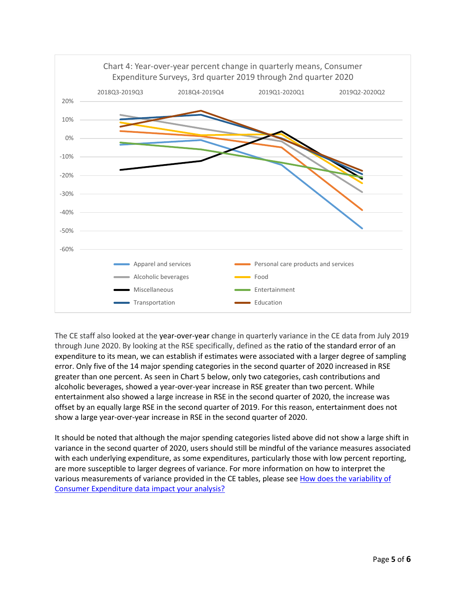

The CE staff also looked at the year-over-year change in quarterly variance in the CE data from July 2019 through June 2020. By looking at the RSE specifically, defined as the ratio of the standard error of an expenditure to its mean, we can establish if estimates were associated with a larger degree of sampling error. Only five of the 14 major spending categories in the second quarter of 2020 increased in RSE greater than one percent. As seen in Chart 5 below, only two categories, cash contributions and alcoholic beverages, showed a year-over-year increase in RSE greater than two percent. While entertainment also showed a large increase in RSE in the second quarter of 2020, the increase was offset by an equally large RSE in the second quarter of 2019. For this reason, entertainment does not show a large year-over-year increase in RSE in the second quarter of 2020.

It should be noted that although the major spending categories listed above did not show a large shift in variance in the second quarter of 2020, users should still be mindful of the variance measures associated with each underlying expenditure, as some expenditures, particularly those with low percent reporting, are more susceptible to larger degrees of variance. For more information on how to interpret the various measurements of variance provided in the CE tables, please see [How does the variability of](https://www.bls.gov/cex/research_papers/pdf/how-does-the-variability-of-consumer-expenditure-data-impact-your-analysis.pdf)  [Consumer Expenditure data impact your analysis?](https://www.bls.gov/cex/research_papers/pdf/how-does-the-variability-of-consumer-expenditure-data-impact-your-analysis.pdf)